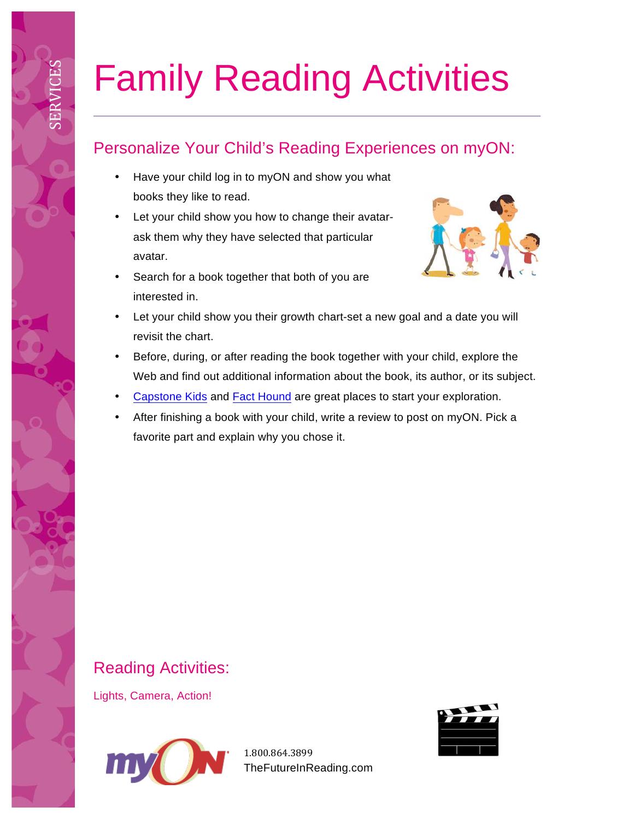# Family Reading Activities

# Personalize Your Child's Reading Experiences on myON:

- Have your child log in to myON and show you what books they like to read.
- Let your child show you how to change their avatarask them why they have selected that particular avatar.
- Search for a book together that both of you are interested in.



- Let your child show you their growth chart-set a new goal and a date you will revisit the chart.
- Before, during, or after reading the book together with your child, explore the Web and find out additional information about the book, its author, or its subject.
- Capstone Kids and Fact Hound are great places to start your exploration.
- After finishing a book with your child, write a review to post on myON. Pick a favorite part and explain why you chose it.

# Reading Activities:

Lights, Camera, Action!

SERVICES



1.800.864.3899 TheFutureInReading.com

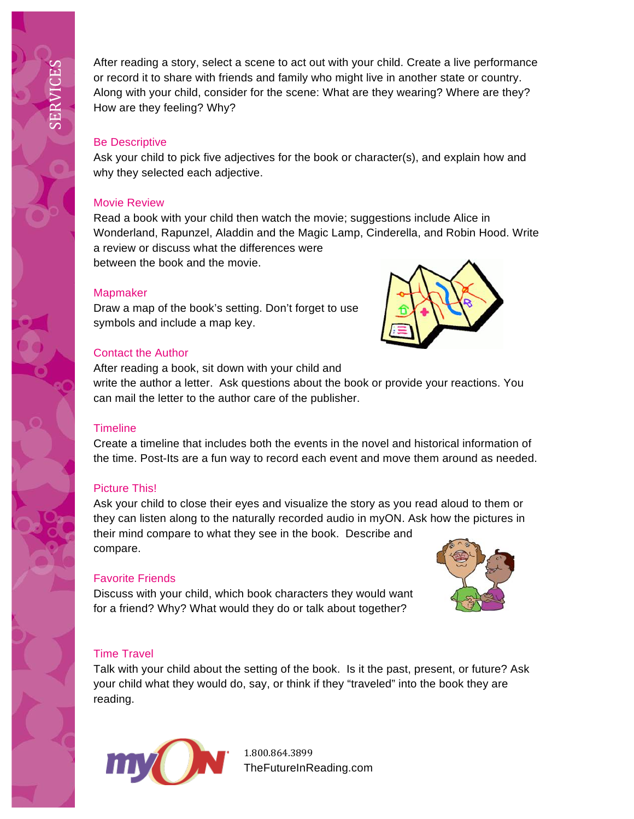After reading a story, select a scene to act out with your child. Create a live performance or record it to share with friends and family who might live in another state or country. Along with your child, consider for the scene: What are they wearing? Where are they? How are they feeling? Why?

#### Be Descriptive

Ask your child to pick five adjectives for the book or character(s), and explain how and why they selected each adjective.

## Movie Review

Read a book with your child then watch the movie; suggestions include Alice in Wonderland, Rapunzel, Aladdin and the Magic Lamp, Cinderella, and Robin Hood. Write a review or discuss what the differences were between the book and the movie.

## **Mapmaker**

Draw a map of the book's setting. Don't forget to use symbols and include a map key.

# Contact the Author

After reading a book, sit down with your child and

write the author a letter. Ask questions about the book or provide your reactions. You can mail the letter to the author care of the publisher.

# **Timeline**

Create a timeline that includes both the events in the novel and historical information of the time. Post-Its are a fun way to record each event and move them around as needed.

# Picture This!

Ask your child to close their eyes and visualize the story as you read aloud to them or they can listen along to the naturally recorded audio in myON. Ask how the pictures in their mind compare to what they see in the book. Describe and compare.

# Favorite Friends

Discuss with your child, which book characters they would want for a friend? Why? What would they do or talk about together?

# Time Travel

Talk with your child about the setting of the book. Is it the past, present, or future? Ask your child what they would do, say, or think if they "traveled" into the book they are reading.



1.800.864.3899 TheFutureInReading.com